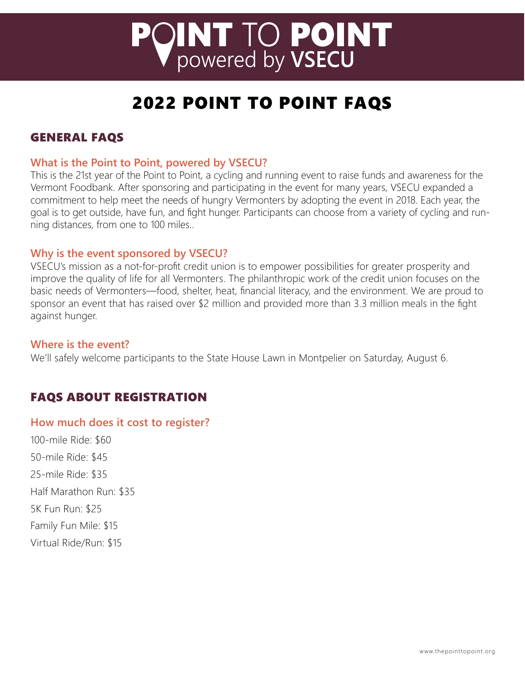# **PQINT TO POINT**<br>POWered by VSECU

# 2022 POINT TO POINT FAQS

# GENERAL FAQS

# **What is the Point to Point, powered by VSECU?**

This is the 21st year of the Point to Point, a cycling and running event to raise funds and awareness for the Vermont Foodbank. After sponsoring and participating in the event for many years, VSECU expanded a commitment to help meet the needs of hungry Vermonters by adopting the event in 2018. Each year, the goal is to get outside, have fun, and fight hunger. Participants can choose from a variety of cycling and running distances, from one to 100 miles..

# **Why is the event sponsored by VSECU?**

VSECU's mission as a not-for-profit credit union is to empower possibilities for greater prosperity and improve the quality of life for all Vermonters. The philanthropic work of the credit union focuses on the basic needs of Vermonters—food, shelter, heat, financial literacy, and the environment. We are proud to sponsor an event that has raised over \$2 million and provided more than 3.3 million meals in the fight against hunger.

#### **Where is the event?**

We'll safely welcome participants to the State House Lawn in Montpelier on Saturday, August 6.

# FAQS ABOUT REGISTRATION

#### **How much does it cost to register?**

100-mile Ride: \$60 50-mile Ride: \$45 25-mile Ride: \$35 Half Marathon Run: \$35 5K Fun Run: \$25 Family Fun Mile: \$15 Virtual Ride/Run: \$15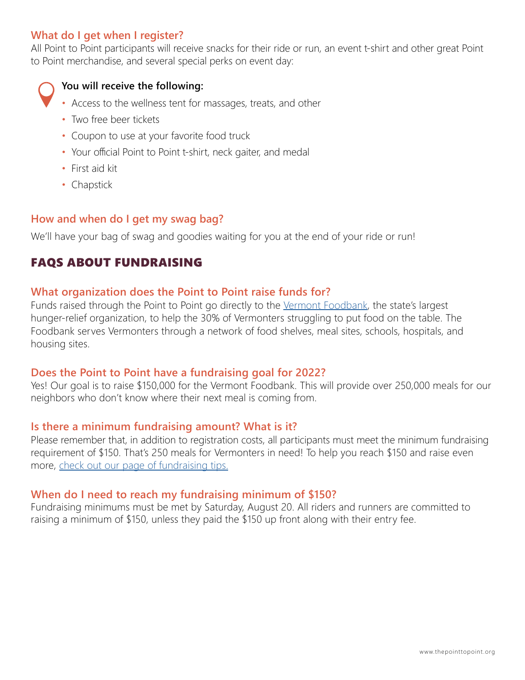# **What do I get when I register?**

All Point to Point participants will receive snacks for their ride or run, an event t-shirt and other great Point to Point merchandise, and several special perks on event day:



**You will receive the following:**

- Access to the wellness tent for massages, treats, and other
- Two free beer tickets
- Coupon to use at your favorite food truck
- Your official Point to Point t-shirt, neck gaiter, and medal
- First aid kit
- Chapstick

# **How and when do I get my swag bag?**

We'll have your bag of swag and goodies waiting for you at the end of your ride or run!

# FAQS ABOUT FUNDRAISING

# **What organization does the Point to Point raise funds for?**

Funds raised through the Point to Point go directly to the [Vermont Foodbank,](https://www.vtfoodbank.org/) the state's largest hunger-relief organization, to help the 30% of Vermonters struggling to put food on the table. The Foodbank serves Vermonters through a network of food shelves, meal sites, schools, hospitals, and housing sites.

# **Does the Point to Point have a fundraising goal for 2022?**

Yes! Our goal is to raise \$150,000 for the Vermont Foodbank. This will provide over 250,000 meals for our neighbors who don't know where their next meal is coming from.

# **Is there a minimum fundraising amount? What is it?**

Please remember that, in addition to registration costs, all participants must meet the minimum fundraising requirement of \$150. That's 250 meals for Vermonters in need! To help you reach \$150 and raise even more, [check out our page of fundraising tips.](https://www.thepointtopoint.org/fundraising-tips)

# **When do I need to reach my fundraising minimum of \$150?**

Fundraising minimums must be met by Saturday, August 20. All riders and runners are committed to raising a minimum of \$150, unless they paid the \$150 up front along with their entry fee.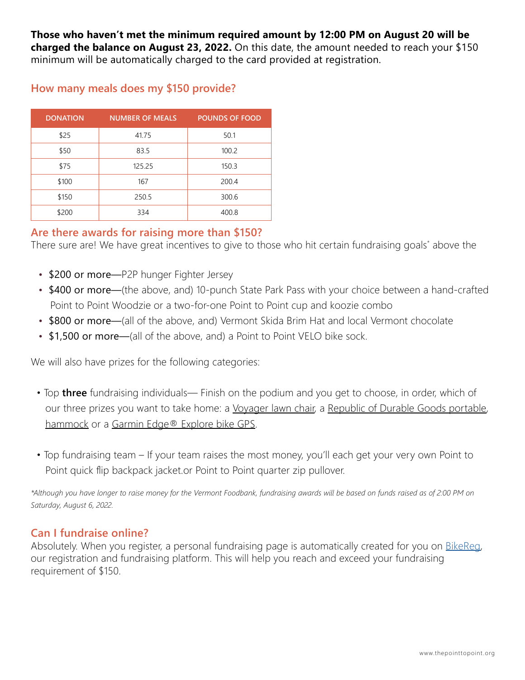**Those who haven't met the minimum required amount by 12:00 PM on August 20 will be charged the balance on August 23, 2022.** On this date, the amount needed to reach your \$150 minimum will be automatically charged to the card provided at registration.

| <b>DONATION</b> | <b>NUMBER OF MEALS</b> | <b>POUNDS OF FOOD</b> |
|-----------------|------------------------|-----------------------|
| \$25            | 41.75                  | 50.1                  |
| \$50            | 83.5                   | 100.2                 |
| \$75            | 125.25                 | 150.3                 |
| \$100           | 167                    | 200.4                 |
| \$150           | 250.5                  | 300.6                 |
| \$200           | 334                    | 400.8                 |

# **How many meals does my \$150 provide?**

# **Are there awards for raising more than \$150?**

There sure are! We have great incentives to give to those who hit certain fundraising goals\* above the

- \$200 or more-P2P hunger Fighter Jersey
- \$400 or more—(the above, and) 10-punch State Park Pass with your choice between a hand-crafted Point to Point Woodzie or a two-for-one Point to Point cup and koozie combo
- \$800 or more—(all of the above, and) Vermont Skida Brim Hat and local Vermont chocolate
- \$1,500 or more—(all of the above, and) a Point to Point VELO bike sock.

We will also have prizes for the following categories:

- Top **three** fundraising individuals— Finish on the podium and you get to choose, in order, which of our three prizes you want to take home: a [Voyager lawn chair,](https://parkitmovement.com/products/the-voyager-chair?variant=31457158627401¤cy=USD&utm_medium=product_sync&utm_source=google&utm_content=sag_organic&utm_campaign=sag_organic&utm_campaign=gs-2021-03-01&utm_source=google&utm_medium=smart_campaign&gclid=CjwKCAiAksyNBhAPEiwAlDBeLE2OJD3D8rq7ufn7AzS4G6iZIIfJIYCj48YapxAEh7fwTeRFuokKQxoCBe4QAvD_BwE) a [Republic of Durable Goods portable](https://republicofdurablegoods.com/collections/all-rdg), [hammock](https://republicofdurablegoods.com/collections/all-rdg) or a Garmin Edge<sup>®</sup> Explore bike GPS.
- Top fundraising team If your team raises the most money, you'll each get your very own Point to Point quick flip backpack jacket.or Point to Point quarter zip pullover.

*\*Although you have longer to raise money for the Vermont Foodbank, fundraising awards will be based on funds raised as of 2:00 PM on Saturday, August 6, 2022.*

# **Can I fundraise online?**

Absolutely. When you register, a personal fundraising page is automatically created for you on [BikeReg,](https://www.bikereg.com/the-point-to-point) our registration and fundraising platform. This will help you reach and exceed your fundraising requirement of \$150.